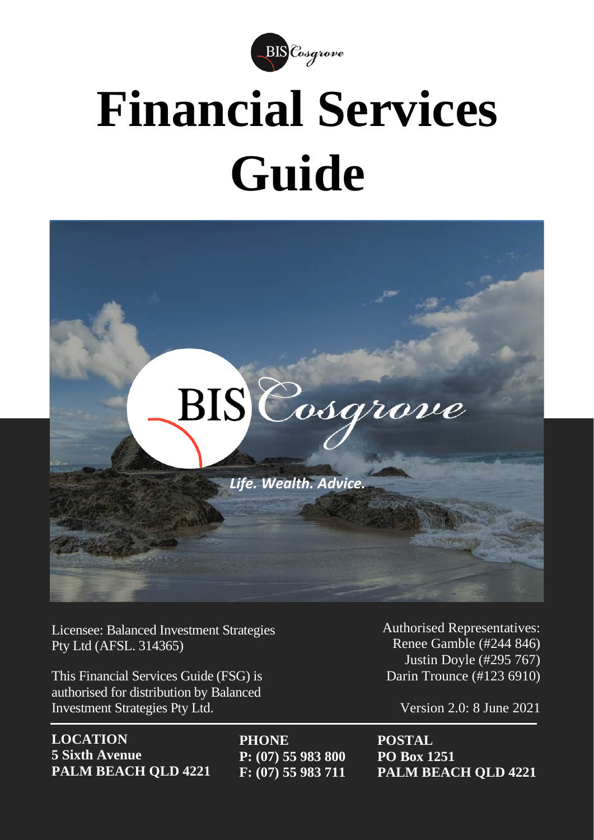

# **Financial Services Guide**



Licensee: Balanced Investment Strategies Pty Ltd (AFSL. 314365)

This Financial Services Guide (FSG) is authorised for distribution by Balanced Investment Strategies Pty Ltd.

**LOCATION 5 Sixth Avenue PALM BEACH QLD 4221** **PHONE P: (07) 55 983 800 F: (07) 55 983 711** Authorised Representatives: Renee Gamble (#244 846) Justin Doyle (#295 767) Darin Trounce (#123 6910)

Version 2.0: 8 June 2021

**POSTAL PO Box 1251 PALM BEACH QLD 4221**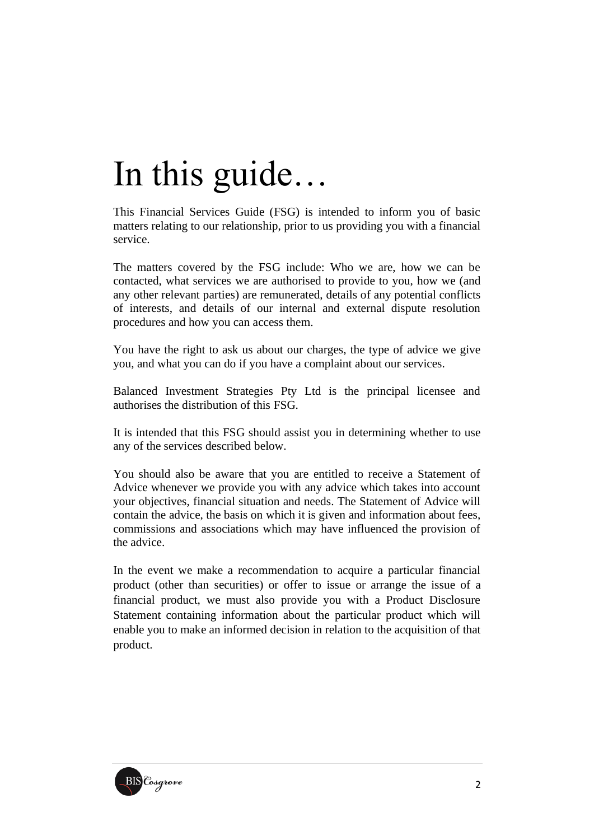# In this guide…

This Financial Services Guide (FSG) is intended to inform you of basic matters relating to our relationship, prior to us providing you with a financial service.

The matters covered by the FSG include: Who we are, how we can be contacted, what services we are authorised to provide to you, how we (and any other relevant parties) are remunerated, details of any potential conflicts of interests, and details of our internal and external dispute resolution procedures and how you can access them.

You have the right to ask us about our charges, the type of advice we give you, and what you can do if you have a complaint about our services.

Balanced Investment Strategies Pty Ltd is the principal licensee and authorises the distribution of this FSG.

It is intended that this FSG should assist you in determining whether to use any of the services described below.

You should also be aware that you are entitled to receive a Statement of Advice whenever we provide you with any advice which takes into account your objectives, financial situation and needs. The Statement of Advice will contain the advice, the basis on which it is given and information about fees, commissions and associations which may have influenced the provision of the advice.

In the event we make a recommendation to acquire a particular financial product (other than securities) or offer to issue or arrange the issue of a financial product, we must also provide you with a Product Disclosure Statement containing information about the particular product which will enable you to make an informed decision in relation to the acquisition of that product.

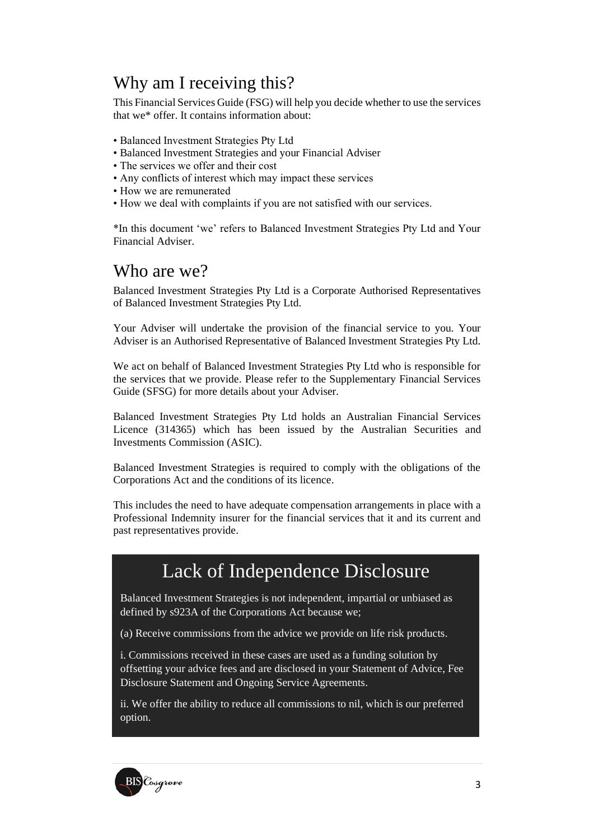#### Why am I receiving this?

This Financial Services Guide (FSG) will help you decide whether to use the services that we\* offer. It contains information about:

- Balanced Investment Strategies Pty Ltd
- Balanced Investment Strategies and your Financial Adviser
- The services we offer and their cost
- Any conflicts of interest which may impact these services
- How we are remunerated
- How we deal with complaints if you are not satisfied with our services.

\*In this document 'we' refers to Balanced Investment Strategies Pty Ltd and Your Financial Adviser.

#### Who are we?

Balanced Investment Strategies Pty Ltd is a Corporate Authorised Representatives of Balanced Investment Strategies Pty Ltd.

Your Adviser will undertake the provision of the financial service to you. Your Adviser is an Authorised Representative of Balanced Investment Strategies Pty Ltd.

We act on behalf of Balanced Investment Strategies Pty Ltd who is responsible for the services that we provide. Please refer to the Supplementary Financial Services Guide (SFSG) for more details about your Adviser.

Balanced Investment Strategies Pty Ltd holds an Australian Financial Services Licence (314365) which has been issued by the Australian Securities and Investments Commission (ASIC).

Balanced Investment Strategies is required to comply with the obligations of the Corporations Act and the conditions of its licence.

This includes the need to have adequate compensation arrangements in place with a Professional Indemnity insurer for the financial services that it and its current and past representatives provide.

### Lack of Independence Disclosure

Balanced Investment Strategies is not independent, impartial or unbiased as defined by s923A of the Corporations Act because we;

(a) Receive commissions from the advice we provide on life risk products.

i. Commissions received in these cases are used as a funding solution by offsetting your advice fees and are disclosed in your Statement of Advice, Fee Disclosure Statement and Ongoing Service Agreements.

ii. We offer the ability to reduce all commissions to nil, which is our preferred option.

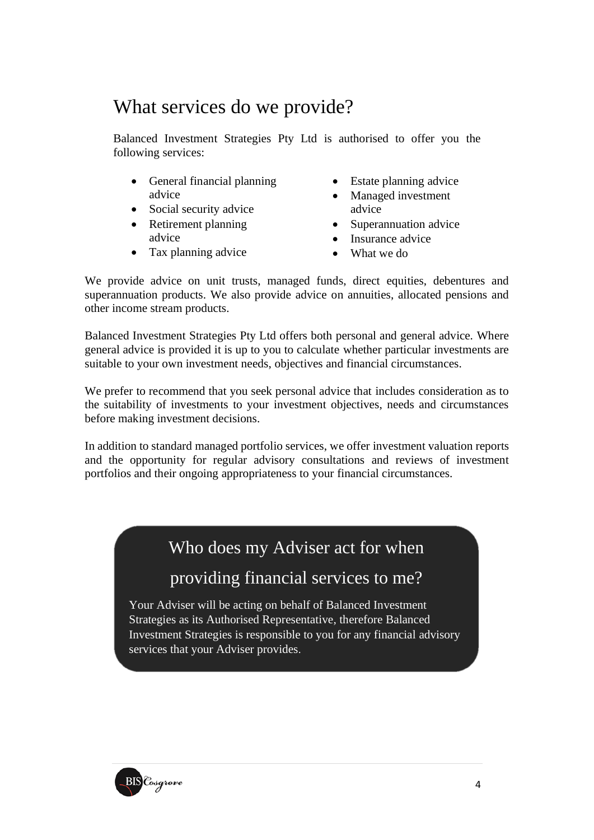## What services do we provide?

Balanced Investment Strategies Pty Ltd is authorised to offer you the following services:

- General financial planning advice
- Social security advice
- Retirement planning advice
- Tax planning advice
- Estate planning advice
- Managed investment advice
- Superannuation advice
- Insurance advice
- What we do

We provide advice on unit trusts, managed funds, direct equities, debentures and superannuation products. We also provide advice on annuities, allocated pensions and other income stream products.

Balanced Investment Strategies Pty Ltd offers both personal and general advice. Where general advice is provided it is up to you to calculate whether particular investments are suitable to your own investment needs, objectives and financial circumstances.

We prefer to recommend that you seek personal advice that includes consideration as to the suitability of investments to your investment objectives, needs and circumstances before making investment decisions.

In addition to standard managed portfolio services, we offer investment valuation reports and the opportunity for regular advisory consultations and reviews of investment portfolios and their ongoing appropriateness to your financial circumstances.

#### Who does my Adviser act for when

#### providing financial services to me?

Your Adviser will be acting on behalf of Balanced Investment Strategies as its Authorised Representative, therefore Balanced Investment Strategies is responsible to you for any financial advisory services that your Adviser provides.

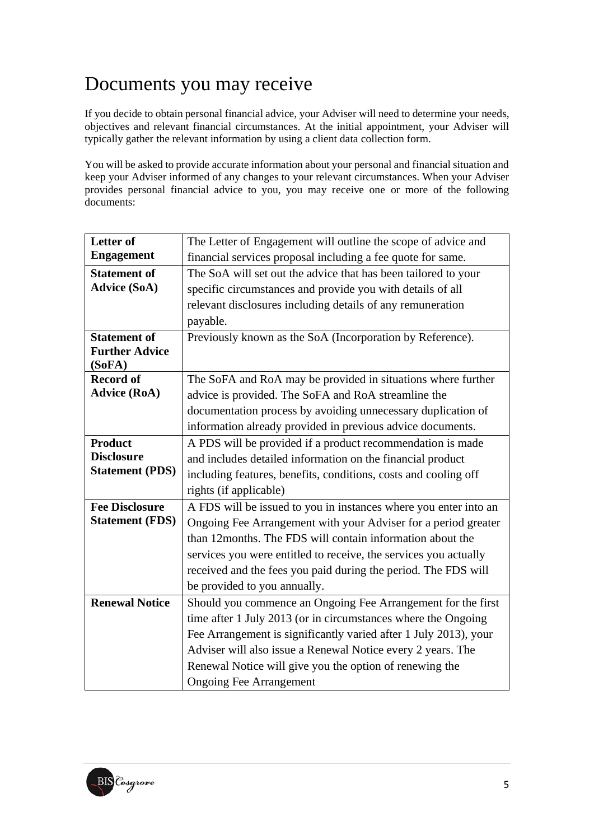# Documents you may receive

If you decide to obtain personal financial advice, your Adviser will need to determine your needs, objectives and relevant financial circumstances. At the initial appointment, your Adviser will typically gather the relevant information by using a client data collection form.

You will be asked to provide accurate information about your personal and financial situation and keep your Adviser informed of any changes to your relevant circumstances. When your Adviser provides personal financial advice to you, you may receive one or more of the following documents:

| The Letter of Engagement will outline the scope of advice and    |
|------------------------------------------------------------------|
| financial services proposal including a fee quote for same.      |
| The SoA will set out the advice that has been tailored to your   |
| specific circumstances and provide you with details of all       |
| relevant disclosures including details of any remuneration       |
| payable.                                                         |
| Previously known as the SoA (Incorporation by Reference).        |
|                                                                  |
|                                                                  |
| The SoFA and RoA may be provided in situations where further     |
| advice is provided. The SoFA and RoA streamline the              |
| documentation process by avoiding unnecessary duplication of     |
| information already provided in previous advice documents.       |
| A PDS will be provided if a product recommendation is made       |
| and includes detailed information on the financial product       |
| including features, benefits, conditions, costs and cooling off  |
| rights (if applicable)                                           |
| A FDS will be issued to you in instances where you enter into an |
| Ongoing Fee Arrangement with your Adviser for a period greater   |
| than 12 months. The FDS will contain information about the       |
| services you were entitled to receive, the services you actually |
| received and the fees you paid during the period. The FDS will   |
| be provided to you annually.                                     |
| Should you commence an Ongoing Fee Arrangement for the first     |
| time after 1 July 2013 (or in circumstances where the Ongoing    |
| Fee Arrangement is significantly varied after 1 July 2013), your |
| Adviser will also issue a Renewal Notice every 2 years. The      |
| Renewal Notice will give you the option of renewing the          |
| <b>Ongoing Fee Arrangement</b>                                   |
|                                                                  |

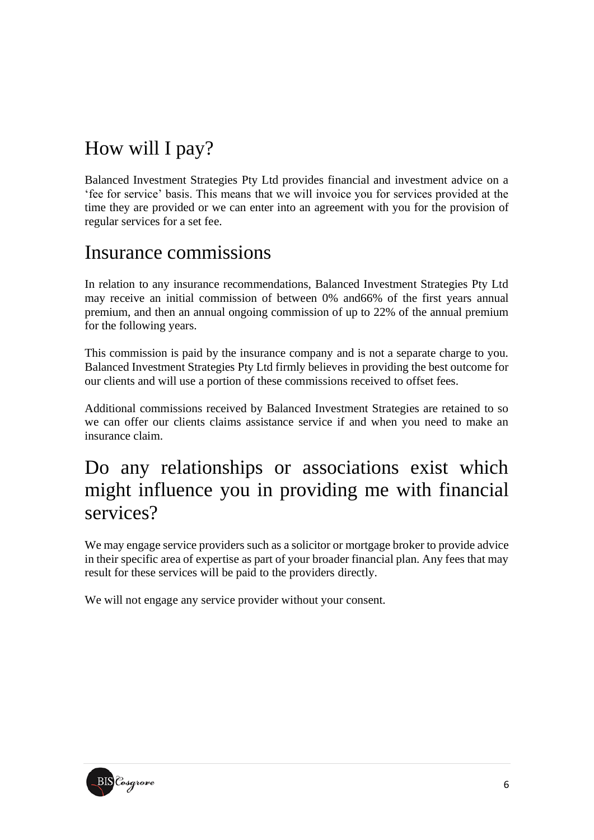# How will I pay?

Balanced Investment Strategies Pty Ltd provides financial and investment advice on a 'fee for service' basis. This means that we will invoice you for services provided at the time they are provided or we can enter into an agreement with you for the provision of regular services for a set fee.

### Insurance commissions

In relation to any insurance recommendations, Balanced Investment Strategies Pty Ltd may receive an initial commission of between 0% and66% of the first years annual premium, and then an annual ongoing commission of up to 22% of the annual premium for the following years.

This commission is paid by the insurance company and is not a separate charge to you. Balanced Investment Strategies Pty Ltd firmly believes in providing the best outcome for our clients and will use a portion of these commissions received to offset fees.

Additional commissions received by Balanced Investment Strategies are retained to so we can offer our clients claims assistance service if and when you need to make an insurance claim.

# Do any relationships or associations exist which might influence you in providing me with financial services?

We may engage service providers such as a solicitor or mortgage broker to provide advice in their specific area of expertise as part of your broader financial plan. Any fees that may result for these services will be paid to the providers directly.

We will not engage any service provider without your consent.

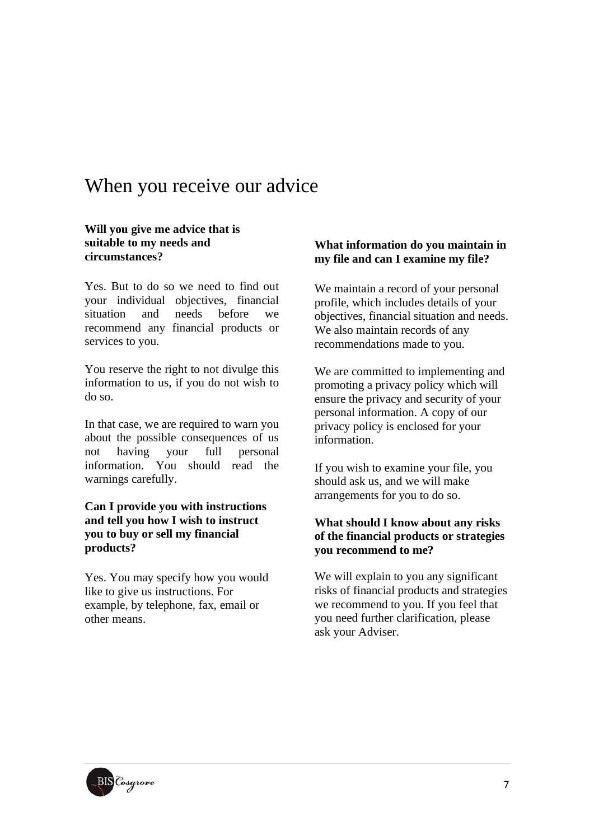### When you receive our advice

#### **Will you give me advice that is suitable to my needs and circumstances?**

Yes. But to do so we need to find out your individual objectives, financial situation and needs before we recommend any financial products or services to you.

You reserve the right to not divulge this information to us, if you do not wish to do so.

In that case, we are required to warn you about the possible consequences of us not having your full personal information. You should read the warnings carefully.

#### **Can I provide you with instructions and tell you how I wish to instruct you to buy or sell my financial products?**

Yes. You may specify how you would like to give us instructions. For example, by telephone, fax, email or other means.

#### **What information do you maintain in my file and can I examine my file?**

We maintain a record of your personal profile, which includes details of your objectives, financial situation and needs. We also maintain records of any recommendations made to you.

We are committed to implementing and promoting a privacy policy which will ensure the privacy and security of your personal information. A copy of our privacy policy is enclosed for your information.

If you wish to examine your file, you should ask us, and we will make arrangements for you to do so.

#### **What should I know about any risks of the financial products or strategies you recommend to me?**

We will explain to you any significant risks of financial products and strategies we recommend to you. If you feel that you need further clarification, please ask your Adviser.